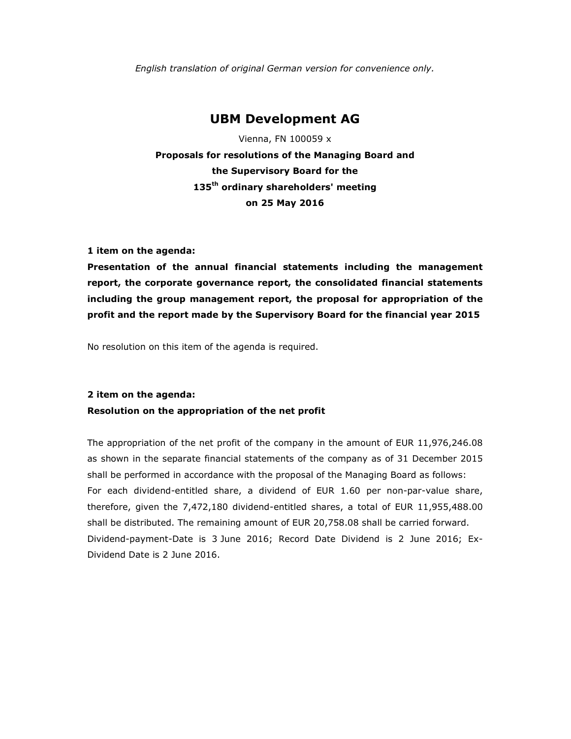*English translation of original German version for convenience only.* 

## **UBM Development AG**

Vienna, FN 100059 x **Proposals for resolutions of the Managing Board and the Supervisory Board for the 135th ordinary shareholders' meeting on 25 May 2016** 

**1 item on the agenda:** 

**Presentation of the annual financial statements including the management report, the corporate governance report, the consolidated financial statements including the group management report, the proposal for appropriation of the profit and the report made by the Supervisory Board for the financial year 2015** 

No resolution on this item of the agenda is required.

#### **2 item on the agenda:**

#### **Resolution on the appropriation of the net profit**

The appropriation of the net profit of the company in the amount of EUR 11,976,246.08 as shown in the separate financial statements of the company as of 31 December 2015 shall be performed in accordance with the proposal of the Managing Board as follows: For each dividend-entitled share, a dividend of EUR 1.60 per non-par-value share, therefore, given the 7,472,180 dividend-entitled shares, a total of EUR 11,955,488.00 shall be distributed. The remaining amount of EUR 20,758.08 shall be carried forward. Dividend-payment-Date is 3 June 2016; Record Date Dividend is 2 June 2016; Ex-Dividend Date is 2 June 2016.